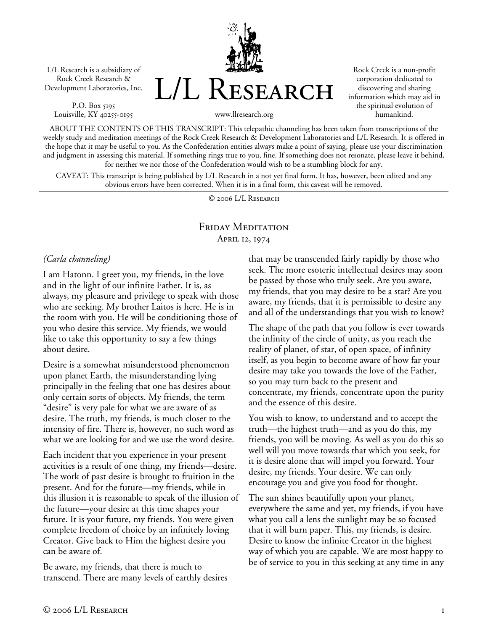L/L Research is a subsidiary of Rock Creek Research & Development Laboratories, Inc.

P.O. Box 5195 Louisville, KY 40255-0195 L/L Research

Rock Creek is a non-profit corporation dedicated to discovering and sharing information which may aid in the spiritual evolution of humankind.

www.llresearch.org

ABOUT THE CONTENTS OF THIS TRANSCRIPT: This telepathic channeling has been taken from transcriptions of the weekly study and meditation meetings of the Rock Creek Research & Development Laboratories and L/L Research. It is offered in the hope that it may be useful to you. As the Confederation entities always make a point of saying, please use your discrimination and judgment in assessing this material. If something rings true to you, fine. If something does not resonate, please leave it behind, for neither we nor those of the Confederation would wish to be a stumbling block for any.

CAVEAT: This transcript is being published by L/L Research in a not yet final form. It has, however, been edited and any obvious errors have been corrected. When it is in a final form, this caveat will be removed.

© 2006 L/L Research

# Friday Meditation April 12, 1974

#### *(Carla channeling)*

I am Hatonn. I greet you, my friends, in the love and in the light of our infinite Father. It is, as always, my pleasure and privilege to speak with those who are seeking. My brother Laitos is here. He is in the room with you. He will be conditioning those of you who desire this service. My friends, we would like to take this opportunity to say a few things about desire.

Desire is a somewhat misunderstood phenomenon upon planet Earth, the misunderstanding lying principally in the feeling that one has desires about only certain sorts of objects. My friends, the term "desire" is very pale for what we are aware of as desire. The truth, my friends, is much closer to the intensity of fire. There is, however, no such word as what we are looking for and we use the word desire.

Each incident that you experience in your present activities is a result of one thing, my friends—desire. The work of past desire is brought to fruition in the present. And for the future—my friends, while in this illusion it is reasonable to speak of the illusion of the future—your desire at this time shapes your future. It is your future, my friends. You were given complete freedom of choice by an infinitely loving Creator. Give back to Him the highest desire you can be aware of.

Be aware, my friends, that there is much to transcend. There are many levels of earthly desires that may be transcended fairly rapidly by those who seek. The more esoteric intellectual desires may soon be passed by those who truly seek. Are you aware, my friends, that you may desire to be a star? Are you aware, my friends, that it is permissible to desire any and all of the understandings that you wish to know?

The shape of the path that you follow is ever towards the infinity of the circle of unity, as you reach the reality of planet, of star, of open space, of infinity itself, as you begin to become aware of how far your desire may take you towards the love of the Father, so you may turn back to the present and concentrate, my friends, concentrate upon the purity and the essence of this desire.

You wish to know, to understand and to accept the truth—the highest truth—and as you do this, my friends, you will be moving. As well as you do this so well will you move towards that which you seek, for it is desire alone that will impel you forward. Your desire, my friends. Your desire. We can only encourage you and give you food for thought.

The sun shines beautifully upon your planet, everywhere the same and yet, my friends, if you have what you call a lens the sunlight may be so focused that it will burn paper. This, my friends, is desire. Desire to know the infinite Creator in the highest way of which you are capable. We are most happy to be of service to you in this seeking at any time in any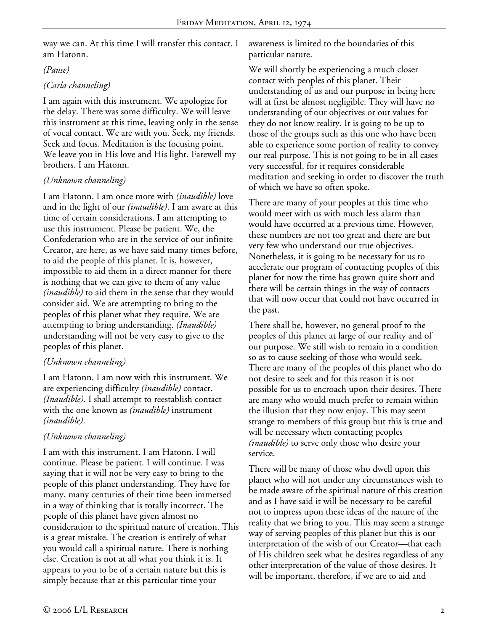way we can. At this time I will transfer this contact. I am Hatonn.

#### *(Pause)*

# *(Carla channeling)*

I am again with this instrument. We apologize for the delay. There was some difficulty. We will leave this instrument at this time, leaving only in the sense of vocal contact. We are with you. Seek, my friends. Seek and focus. Meditation is the focusing point. We leave you in His love and His light. Farewell my brothers. I am Hatonn.

### *(Unknown channeling)*

I am Hatonn. I am once more with *(inaudible)* love and in the light of our *(inaudible)*. I am aware at this time of certain considerations. I am attempting to use this instrument. Please be patient. We, the Confederation who are in the service of our infinite Creator, are here, as we have said many times before, to aid the people of this planet. It is, however, impossible to aid them in a direct manner for there is nothing that we can give to them of any value *(inaudible)* to aid them in the sense that they would consider aid. We are attempting to bring to the peoples of this planet what they require. We are attempting to bring understanding. *(Inaudible)* understanding will not be very easy to give to the peoples of this planet.

# *(Unknown channeling)*

I am Hatonn. I am now with this instrument. We are experiencing difficulty *(inaudible)* contact. *(Inaudible)*. I shall attempt to reestablish contact with the one known as *(inaudible)* instrument *(inaudible)*.

### *(Unknown channeling)*

I am with this instrument. I am Hatonn. I will continue. Please be patient. I will continue. I was saying that it will not be very easy to bring to the people of this planet understanding. They have for many, many centuries of their time been immersed in a way of thinking that is totally incorrect. The people of this planet have given almost no consideration to the spiritual nature of creation. This is a great mistake. The creation is entirely of what you would call a spiritual nature. There is nothing else. Creation is not at all what you think it is. It appears to you to be of a certain nature but this is simply because that at this particular time your

awareness is limited to the boundaries of this particular nature.

We will shortly be experiencing a much closer contact with peoples of this planet. Their understanding of us and our purpose in being here will at first be almost negligible. They will have no understanding of our objectives or our values for they do not know reality. It is going to be up to those of the groups such as this one who have been able to experience some portion of reality to convey our real purpose. This is not going to be in all cases very successful, for it requires considerable meditation and seeking in order to discover the truth of which we have so often spoke.

There are many of your peoples at this time who would meet with us with much less alarm than would have occurred at a previous time. However, these numbers are not too great and there are but very few who understand our true objectives. Nonetheless, it is going to be necessary for us to accelerate our program of contacting peoples of this planet for now the time has grown quite short and there will be certain things in the way of contacts that will now occur that could not have occurred in the past.

There shall be, however, no general proof to the peoples of this planet at large of our reality and of our purpose. We still wish to remain in a condition so as to cause seeking of those who would seek. There are many of the peoples of this planet who do not desire to seek and for this reason it is not possible for us to encroach upon their desires. There are many who would much prefer to remain within the illusion that they now enjoy. This may seem strange to members of this group but this is true and will be necessary when contacting peoples *(inaudible)* to serve only those who desire your service.

There will be many of those who dwell upon this planet who will not under any circumstances wish to be made aware of the spiritual nature of this creation and as I have said it will be necessary to be careful not to impress upon these ideas of the nature of the reality that we bring to you. This may seem a strange way of serving peoples of this planet but this is our interpretation of the wish of our Creator—that each of His children seek what he desires regardless of any other interpretation of the value of those desires. It will be important, therefore, if we are to aid and